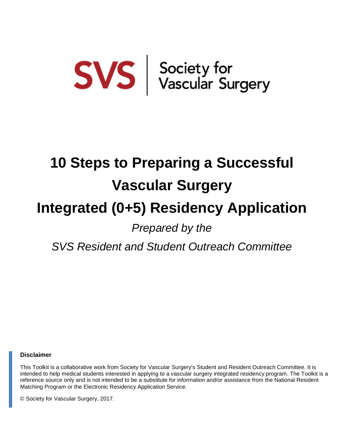# $SVS$  Society for<br>Vascular Surgery

## **10 Steps to Preparing a Successful Vascular Surgery Integrated (0+5) Residency Application** *Prepared by the*

*SVS Resident and Student Outreach Committee*

#### **Disclaimer**

This Toolkit is a collaborative work from Society for Vascular Surgery's Student and Resident Outreach Committee. It is intended to help medical students interested in applying to a vascular surgery integrated residency program. The Toolkit is a reference source only and is not intended to be a substitute for information and/or assistance from the National Resident Matching Program or the Electronic Residency Application Service.

© Society for Vascular Surgery, 2017.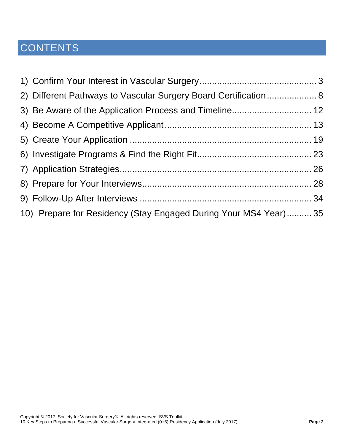### **CONTENTS**

| 2) Different Pathways to Vascular Surgery Board Certification 8  |  |
|------------------------------------------------------------------|--|
|                                                                  |  |
|                                                                  |  |
|                                                                  |  |
|                                                                  |  |
|                                                                  |  |
|                                                                  |  |
|                                                                  |  |
| 10) Prepare for Residency (Stay Engaged During Your MS4 Year) 35 |  |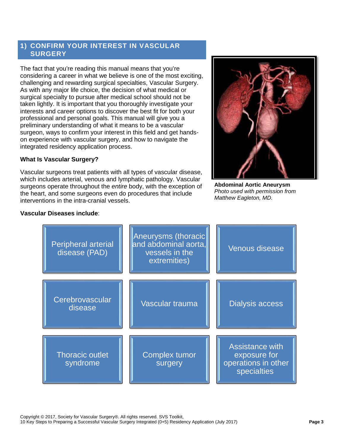#### <span id="page-2-0"></span>**1) CONFIRM YOUR INTEREST IN VASCULAR SURGERY**

The fact that you're reading this manual means that you're considering a career in what we believe is one of the most exciting, challenging and rewarding surgical specialties, Vascular Surgery. As with any major life choice, the decision of what medical or surgical specialty to pursue after medical school should not be taken lightly. It is important that you thoroughly investigate your interests and career options to discover the best fit for both your professional and personal goals. This manual will give you a preliminary understanding of what it means to be a vascular surgeon, ways to confirm your interest in this field and get handson experience with vascular surgery, and how to navigate the integrated residency application process.

#### **What Is Vascular Surgery?**

Vascular surgeons treat patients with all types of vascular disease, which includes arterial, venous and lymphatic pathology. Vascular surgeons operate throughout the *entire* body, with the exception of the heart, and some surgeons even do procedures that include interventions in the intra-cranial vessels.



**Abdominal Aortic Aneurysm**  *Photo used with permission from Matthew Eagleton, MD.*

#### **Vascular Diseases include**:

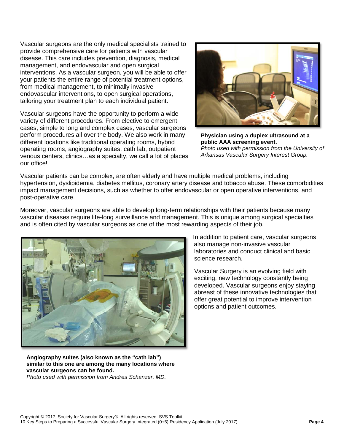Vascular surgeons are the only medical specialists trained to provide comprehensive care for patients with vascular disease. This care includes prevention, diagnosis, medical management, and endovascular and open surgical interventions. As a vascular surgeon, you will be able to offer your patients the entire range of potential treatment options, from medical management, to minimally invasive endovascular interventions, to open surgical operations, tailoring your treatment plan to each individual patient.

Vascular surgeons have the opportunity to perform a wide variety of different procedures. From elective to emergent cases, simple to long and complex cases, vascular surgeons perform procedures all over the body. We also work in many different locations like traditional operating rooms, hybrid operating rooms, angiography suites, cath lab, outpatient venous centers, clinics…as a specialty, we call a lot of places our office!



**Physician using a duplex ultrasound at a public AAA screening event.**  *Photo used with permission from the University of Arkansas Vascular Surgery Interest Group.*

Vascular patients can be complex, are often elderly and have multiple medical problems, including hypertension, dyslipidemia, diabetes mellitus, coronary artery disease and tobacco abuse. These comorbidities impact management decisions, such as whether to offer endovascular or open operative interventions, and post-operative care.

Moreover, vascular surgeons are able to develop long-term relationships with their patients because many vascular diseases require life-long surveillance and management. This is unique among surgical specialties and is often cited by vascular surgeons as one of the most rewarding aspects of their job.



In addition to patient care, vascular surgeons also manage non-invasive vascular laboratories and conduct clinical and basic science research.

Vascular Surgery is an evolving field with exciting, new technology constantly being developed. Vascular surgeons enjoy staying abreast of these innovative technologies that offer great potential to improve intervention options and patient outcomes.

<span id="page-3-1"></span><span id="page-3-0"></span>**Angiography suites (also known as the "cath lab") similar to this one are among the many locations where vascular surgeons can be found.**  *Photo used with permission from Andres Schanzer, MD.*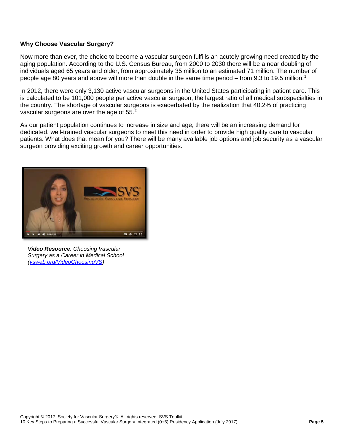#### **Why Choose Vascular Surgery?**

Now more than ever, the choice to become a vascular surgeon fulfills an acutely growing need created by the aging population. According to the U.S. Census Bureau, from 2000 to 2030 there will be a near doubling of individuals aged 65 years and older, from approximately 35 million to an estimated 71 million. The number of people age 80 years and above will more than double in the same time period – from 9.3 to [1](#page-3-0)9.5 million.<sup>1</sup>

In 2012, there were only 3,130 active vascular surgeons in the United States participating in patient care. This is calculated to be 101,000 people per active vascular surgeon, the largest ratio of all medical subspecialties in the country. The shortage of vascular surgeons is exacerbated by the realization that 40.2% of practicing vascular surgeons are over the age of 55.<sup>[2](#page-3-1)</sup>

As our patient population continues to increase in size and age, there will be an increasing demand for dedicated, well-trained vascular surgeons to meet this need in order to provide high quality care to vascular patients. What does that mean for you? There will be many available job options and job security as a vascular surgeon providing exciting growth and career opportunities.



*Video Resource: Choosing Vascular Surgery as a Career in Medical School [\(vsweb.org/VideoChoosingVS\)](http://vsweb.org/VideoChoosingVS)*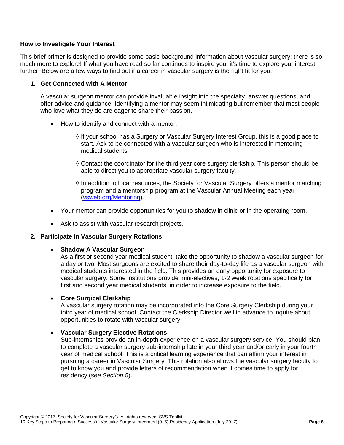#### **How to Investigate Your Interest**

This brief primer is designed to provide some basic background information about vascular surgery; there is so much more to explore! If what you have read so far continues to inspire you, it's time to explore your interest further. Below are a few ways to find out if a career in vascular surgery is the right fit for you.

#### **1. Get Connected with A Mentor**

A vascular surgeon mentor can provide invaluable insight into the specialty, answer questions, and offer advice and guidance. Identifying a mentor may seem intimidating but remember that most people who love what they do are eager to share their passion.

- How to identify and connect with a mentor:
	- $\Diamond$  If your school has a Surgery or Vascular Surgery Interest Group, this is a good place to start. Ask to be connected with a vascular surgeon who is interested in mentoring medical students.
	- ◊ Contact the coordinator for the third year core surgery clerkship. This person should be able to direct you to appropriate vascular surgery faculty.
	- $\Diamond$  In addition to local resources, the Society for Vascular Surgery offers a mentor matching program and a mentorship program at the Vascular Annual Meeting each year [\(vsweb.org/Mentoring\)](http://vsweb.org/Mentoring).
- Your mentor can provide opportunities for you to shadow in clinic or in the operating room.
- Ask to assist with vascular research projects.

#### **2. Participate in Vascular Surgery Rotations**

• **Shadow A Vascular Surgeon**

As a first or second year medical student, take the opportunity to shadow a vascular surgeon for a day or two. Most surgeons are excited to share their day-to-day life as a vascular surgeon with medical students interested in the field. This provides an early opportunity for exposure to vascular surgery. Some institutions provide mini-electives, 1-2 week rotations specifically for first and second year medical students, in order to increase exposure to the field.

#### • **Core Surgical Clerkship**

A vascular surgery rotation may be incorporated into the Core Surgery Clerkship during your third year of medical school. Contact the Clerkship Director well in advance to inquire about opportunities to rotate with vascular surgery.

#### • **Vascular Surgery Elective Rotations**

Sub-internships provide an in-depth experience on a vascular surgery service. You should plan to complete a vascular surgery sub-internship late in your third year and/or early in your fourth year of medical school. This is a critical learning experience that can affirm your interest in pursuing a career in Vascular Surgery. This rotation also allows the vascular surgery faculty to get to know you and provide letters of recommendation when it comes time to apply for residency (*see Section 5*).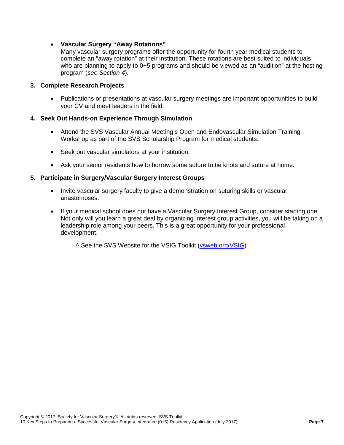#### • **Vascular Surgery "Away Rotations"**

Many vascular surgery programs offer the opportunity for fourth year medical students to complete an "away rotation" at their institution. These rotations are best suited to individuals who are planning to apply to 0+5 programs and should be viewed as an "audition" at the hosting program (*see Section 4*).

#### **3. Complete Research Projects**

• Publications or presentations at vascular surgery meetings are important opportunities to build your CV and meet leaders in the field.

#### **4. Seek Out Hands-on Experience Through Simulation**

- Attend the SVS Vascular Annual Meeting's Open and Endovascular Simulation Training Workshop as part of the SVS Scholarship Program for medical students.
- Seek out vascular simulators at your institution.
- Ask your senior residents how to borrow some suture to tie knots and suture at home.

#### **5. Participate in Surgery/Vascular Surgery Interest Groups**

- Invite vascular surgery faculty to give a demonstration on suturing skills or vascular anastomoses.
- If your medical school does not have a Vascular Surgery Interest Group, consider starting one. Not only will you learn a great deal by organizing interest group activities, you will be taking on a leadership role among your peers. This is a great opportunity for your professional development.
	- ◊ See the SVS Website for the VSIG Toolkit [\(vsweb.org/VSIG\)](http://vsweb.org/VSIG)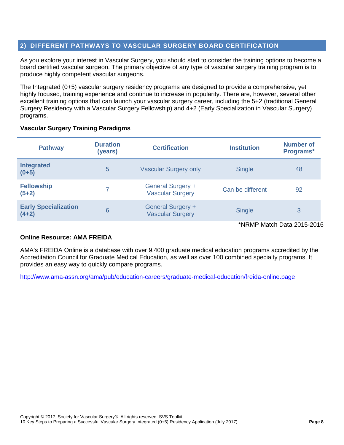#### <span id="page-7-0"></span>**2) DIFFERENT PATHWAYS TO VASCULAR SURGERY BOARD CERTIFICATION**

As you explore your interest in Vascular Surgery, you should start to consider the training options to become a board certified vascular surgeon. The primary objective of any type of vascular surgery training program is to produce highly competent vascular surgeons.

The Integrated (0+5) vascular surgery residency programs are designed to provide a comprehensive, yet highly focused, training experience and continue to increase in popularity. There are, however, several other excellent training options that can launch your vascular surgery career, including the 5+2 (traditional General Surgery Residency with a Vascular Surgery Fellowship) and 4+2 (Early Specialization in Vascular Surgery) programs.

#### **Vascular Surgery Training Paradigms**

| <b>Pathway</b>                         | <b>Duration</b><br>(years) | <b>Certification</b>                                | <b>Institution</b> | Number of<br>Programs* |
|----------------------------------------|----------------------------|-----------------------------------------------------|--------------------|------------------------|
| <b>Integrated</b><br>$(0+5)$           | 5                          | <b>Vascular Surgery only</b>                        | <b>Single</b>      | 48                     |
| <b>Fellowship</b><br>$(5+2)$           |                            | <b>General Surgery +</b><br><b>Vascular Surgery</b> | Can be different   | 92                     |
| <b>Early Specialization</b><br>$(4+2)$ | 6                          | <b>General Surgery +</b><br><b>Vascular Surgery</b> | <b>Single</b>      | 3                      |

\*NRMP Match Data 2015-2016

#### **Online Resource: AMA FREIDA**

AMA's FREIDA Online is a database with over 9,400 graduate medical education programs accredited by the Accreditation Council for Graduate Medical Education, as well as over 100 combined specialty programs. It provides an easy way to quickly compare programs.

<http://www.ama-assn.org/ama/pub/education-careers/graduate-medical-education/freida-online.page>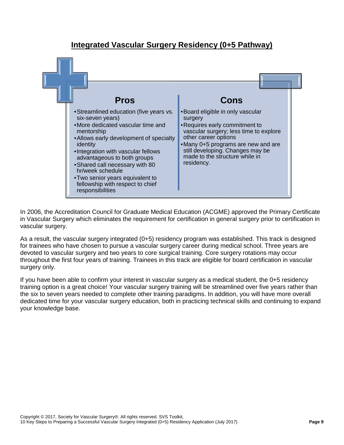

#### **Integrated Vascular Surgery Residency (0+5 Pathway)**

In 2006, the Accreditation Council for Graduate Medical Education (ACGME) approved the Primary Certificate in Vascular Surgery which eliminates the requirement for certification in general surgery prior to certification in vascular surgery.

As a result, the vascular surgery integrated (0+5) residency program was established. This track is designed for trainees who have chosen to pursue a vascular surgery career during medical school. Three years are devoted to vascular surgery and two years to core surgical training. Core surgery rotations may occur throughout the first four years of training. Trainees in this track are eligible for board certification in vascular surgery only.

If you have been able to confirm your interest in vascular surgery as a medical student, the 0+5 residency training option is a great choice! Your vascular surgery training will be streamlined over five years rather than the six to seven years needed to complete other training paradigms. In addition, you will have more overall dedicated time for your vascular surgery education, both in practicing technical skills and continuing to expand your knowledge base.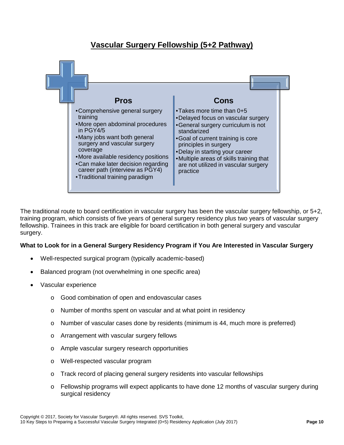#### **Vascular Surgery Fellowship (5+2 Pathway)**



The traditional route to board certification in vascular surgery has been the vascular surgery fellowship, or 5+2, training program, which consists of five years of general surgery residency plus two years of vascular surgery fellowship. Trainees in this track are eligible for board certification in both general surgery and vascular surgery.

#### **What to Look for in a General Surgery Residency Program if You Are Interested in Vascular Surgery**

- Well-respected surgical program (typically academic-based)
- Balanced program (not overwhelming in one specific area)
- Vascular experience
	- o Good combination of open and endovascular cases
	- o Number of months spent on vascular and at what point in residency
	- $\circ$  Number of vascular cases done by residents (minimum is 44, much more is preferred)
	- o Arrangement with vascular surgery fellows
	- o Ample vascular surgery research opportunities
	- o Well-respected vascular program
	- o Track record of placing general surgery residents into vascular fellowships
	- $\circ$  Fellowship programs will expect applicants to have done 12 months of vascular surgery during surgical residency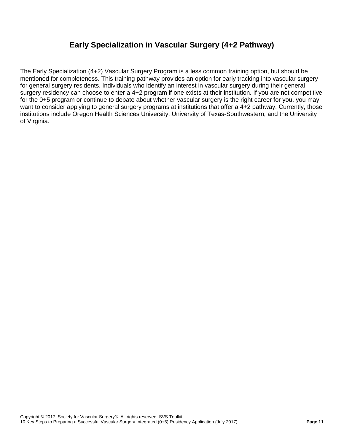#### **Early Specialization in Vascular Surgery (4+2 Pathway)**

The Early Specialization (4+2) Vascular Surgery Program is a less common training option, but should be mentioned for completeness. This training pathway provides an option for early tracking into vascular surgery for general surgery residents. Individuals who identify an interest in vascular surgery during their general surgery residency can choose to enter a 4+2 program if one exists at their institution. If you are not competitive for the 0+5 program or continue to debate about whether vascular surgery is the right career for you, you may want to consider applying to general surgery programs at institutions that offer a 4+2 pathway. Currently, those institutions include Oregon Health Sciences University, University of Texas-Southwestern, and the University of Virginia.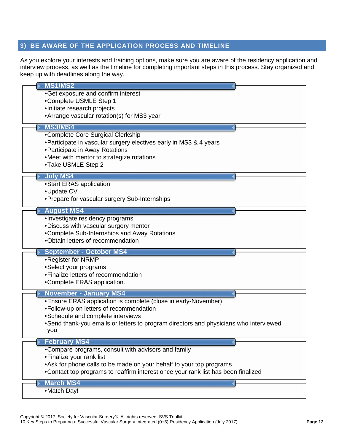#### <span id="page-11-0"></span>**3) BE AWARE OF THE APPLICATION PROCESS AND TIMELINE**

As you explore your interests and training options, make sure you are aware of the residency application and interview process, as well as the timeline for completing important steps in this process. Stay organized and keep up with deadlines along the way.

| <b>MS1/MS2</b><br>•Get exposure and confirm interest<br>•Complete USMLE Step 1<br>•Initiate research projects<br>• Arrange vascular rotation(s) for MS3 year                                                                                                                               |  |
|--------------------------------------------------------------------------------------------------------------------------------------------------------------------------------------------------------------------------------------------------------------------------------------------|--|
| <b>MS3/MS4</b><br>•Complete Core Surgical Clerkship<br>• Participate in vascular surgery electives early in MS3 & 4 years<br>• Participate in Away Rotations<br>•Meet with mentor to strategize rotations<br>•Take USMLE Step 2                                                            |  |
| <b>July MS4</b><br>•Start ERAS application<br>•Update CV<br>• Prepare for vascular surgery Sub-Internships                                                                                                                                                                                 |  |
| <b>August MS4</b><br>·Investigate residency programs<br>. Discuss with vascular surgery mentor<br>•Complete Sub-Internships and Away Rotations<br>.Obtain letters of recommendation                                                                                                        |  |
| <b>September - October MS4</b><br>•Register for NRMP<br>•Select your programs<br>• Finalize letters of recommendation<br>•Complete ERAS application.                                                                                                                                       |  |
| <b>November - January MS4</b><br>• Ensure ERAS application is complete (close in early-November)<br>•Follow-up on letters of recommendation<br>•Schedule and complete interviews<br>•Send thank-you emails or letters to program directors and physicians who interviewed<br>you           |  |
| <b>February MS4</b><br>. Compare programs, consult with advisors and family<br>• Finalize your rank list<br>• Ask for phone calls to be made on your behalf to your top programs<br>• Contact top programs to reaffirm interest once your rank list has been finalized<br><b>March MS4</b> |  |
| •Match Day!                                                                                                                                                                                                                                                                                |  |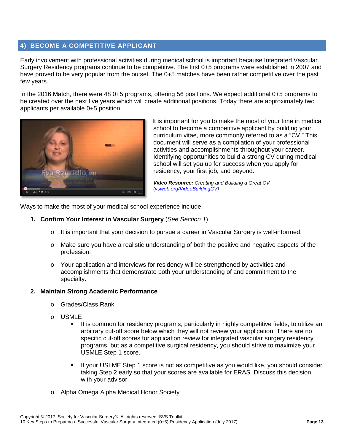#### <span id="page-12-0"></span>**4) BECOME A COMPETITIVE APPLICANT**

Early involvement with professional activities during medical school is important because Integrated Vascular Surgery Residency programs continue to be competitive. The first 0+5 programs were established in 2007 and have proved to be very popular from the outset. The 0+5 matches have been rather competitive over the past few years.

In the 2016 Match, there were 48 0+5 programs, offering 56 positions. We expect additional 0+5 programs to be created over the next five years which will create additional positions. Today there are approximately two applicants per available 0+5 position.



It is important for you to make the most of your time in medical school to become a competitive applicant by building your curriculum vitae, more commonly referred to as a "CV." This document will serve as a compilation of your professional activities and accomplishments throughout your career. Identifying opportunities to build a strong CV during medical school will set you up for success when you apply for residency, your first job, and beyond.

*Video Resource: Creating and Building a Great CV [\(vsweb.org/VideoBuildingCV\)](http://vsweb.org/VideoBuildingCV)*

Ways to make the most of your medical school experience include:

- **1. Confirm Your Interest in Vascular Surgery** (*See Section 1*)
	- $\circ$  It is important that your decision to pursue a career in Vascular Surgery is well-informed.
	- o Make sure you have a realistic understanding of both the positive and negative aspects of the profession.
	- o Your application and interviews for residency will be strengthened by activities and accomplishments that demonstrate both your understanding of and commitment to the specialty.

#### **2. Maintain Strong Academic Performance**

- o Grades/Class Rank
- o USMLE<br>I I
	- It is common for residency programs, particularly in highly competitive fields, to utilize an arbitrary cut-off score below which they will not review your application. There are no specific cut-off scores for application review for integrated vascular surgery residency programs, but as a competitive surgical residency, you should strive to maximize your USMLE Step 1 score.
	- If your USLME Step 1 score is not as competitive as you would like, you should consider taking Step 2 early so that your scores are available for ERAS. Discuss this decision with your advisor.
- o Alpha Omega Alpha Medical Honor Society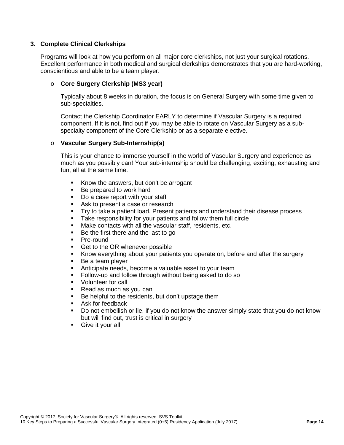#### **3. Complete Clinical Clerkships**

Programs will look at how you perform on all major core clerkships, not just your surgical rotations. Excellent performance in both medical and surgical clerkships demonstrates that you are hard-working, conscientious and able to be a team player.

#### o **Core Surgery Clerkship (MS3 year)**

Typically about 8 weeks in duration, the focus is on General Surgery with some time given to sub-specialties.

Contact the Clerkship Coordinator EARLY to determine if Vascular Surgery is a required component. If it is not, find out if you may be able to rotate on Vascular Surgery as a subspecialty component of the Core Clerkship or as a separate elective.

#### o **Vascular Surgery Sub-Internship(s)**

This is your chance to immerse yourself in the world of Vascular Surgery and experience as much as you possibly can! Your sub-internship should be challenging, exciting, exhausting and fun, all at the same time.

- Know the answers, but don't be arrogant
- Be prepared to work hard<br>■ Do a case report with your
- Do a case report with your staff
- Ask to present a case or research
- Try to take a patient load. Present patients and understand their disease process
- **Take responsibility for your patients and follow them full circle**
- Make contacts with all the vascular staff, residents, etc.
- Be the first there and the last to go
- Pre-round
- Get to the OR whenever possible
- Know everything about your patients you operate on, before and after the surgery
- Be a team player
- Anticipate needs, become a valuable asset to your team
- **Follow-up and follow through without being asked to do so**
- **Volunteer for call**
- Read as much as you can
- Be helpful to the residents, but don't upstage them
- **Ask for feedback**
- Do not embellish or lie, if you do not know the answer simply state that you do not know but will find out, trust is critical in surgery
- Give it your all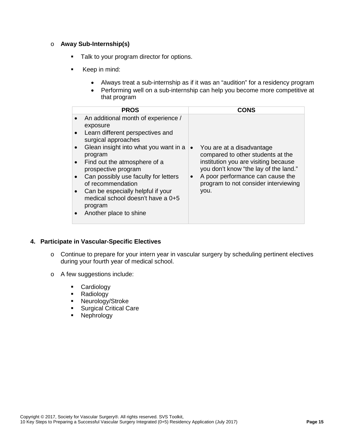#### o **Away Sub-Internship(s)**

- Talk to your program director for options.
- Keep in mind:
	- Always treat a sub-internship as if it was an "audition" for a residency program
	- Performing well on a sub-internship can help you become more competitive at that program

| <b>PROS</b>                                                                                                                                                                                                                                                                                                                                                                                                                                                                     | CONS                                                                                                                                                                                                                                                          |
|---------------------------------------------------------------------------------------------------------------------------------------------------------------------------------------------------------------------------------------------------------------------------------------------------------------------------------------------------------------------------------------------------------------------------------------------------------------------------------|---------------------------------------------------------------------------------------------------------------------------------------------------------------------------------------------------------------------------------------------------------------|
| An additional month of experience /<br>$\bullet$<br>exposure<br>Learn different perspectives and<br>$\bullet$<br>surgical approaches<br>Glean insight into what you want in a<br>$\bullet$<br>program<br>Find out the atmosphere of a<br>$\bullet$<br>prospective program<br>Can possibly use faculty for letters<br>$\bullet$<br>of recommendation<br>Can be especially helpful if your<br>$\bullet$<br>medical school doesn't have a 0+5<br>program<br>Another place to shine | You are at a disadvantage<br>$\bullet$<br>compared to other students at the<br>institution you are visiting because<br>you don't know "the lay of the land."<br>A poor performance can cause the<br>$\bullet$<br>program to not consider interviewing<br>you. |

#### **4. Participate in Vascular-Specific Electives**

- o Continue to prepare for your intern year in vascular surgery by scheduling pertinent electives during your fourth year of medical school.
- o A few suggestions include:
	- **Cardiology**
	- Radiology
	- **Neurology/Stroke**
	- **Surgical Critical Care**<br>**Burght Critical Care**<br> **Burght Care**
	- Nephrology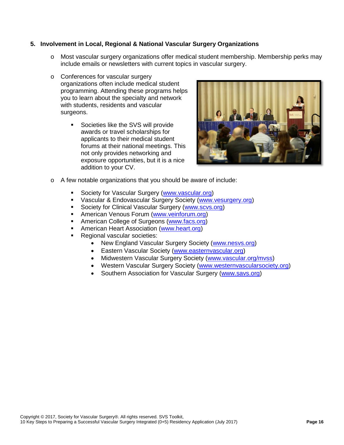#### **5. Involvement in Local, Regional & National Vascular Surgery Organizations**

- o Most vascular surgery organizations offer medical student membership. Membership perks may include emails or newsletters with current topics in vascular surgery.
- o Conferences for vascular surgery organizations often include medical student programming. Attending these programs helps you to learn about the specialty and network with students, residents and vascular surgeons.
	- **Societies like the SVS will provide** awards or travel scholarships for applicants to their medical student forums at their national meetings. This not only provides networking and exposure opportunities, but it is a nice addition to your CV.



- o A few notable organizations that you should be aware of include:
	- Society for Vascular Surgery [\(www.vascular.org\)](http://www.vascular.org/)
	- Vascular & Endovascular Surgery Society [\(www.vesurgery.org\)](http://www.vesurgery.org/)
	- Society for Clinical Vascular Surgery [\(www.scvs.org\)](http://www.scvs.org/)
	- **American Venous Forum [\(www.veinforum.org\)](http://www.veinforum.org/)**
	- **American College of Surgeons [\(www.facs.org\)](http://www.facs.org/)**
	- **American Heart Association [\(www.heart.org\)](http://www.heart.org/)**
	- **Regional vascular societies:** 
		- New England Vascular Surgery Society [\(www.nesvs.org\)](http://www.nesvs.org/)
		- Eastern Vascular Society [\(www.easternvascular.org\)](http://www.easternvascular.org/)
		- Midwestern Vascular Surgery Society [\(www.vascular.org/mvss\)](http://www.vascular.org/mvss)
		- Western Vascular Surgery Society [\(www.westernvascularsociety.org\)](http://www.westernvascularsociety.org/)
		- Southern Association for Vascular Surgery [\(www.savs.org\)](http://www.savs.org/)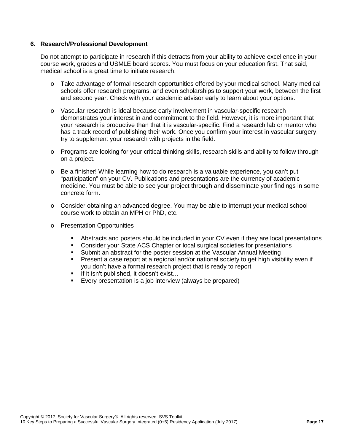#### **6. Research/Professional Development**

Do not attempt to participate in research if this detracts from your ability to achieve excellence in your course work, grades and USMLE board scores. You must focus on your education first. That said, medical school is a great time to initiate research.

- o Take advantage of formal research opportunities offered by your medical school. Many medical schools offer research programs, and even scholarships to support your work, between the first and second year. Check with your academic advisor early to learn about your options.
- o Vascular research is ideal because early involvement in vascular-specific research demonstrates your interest in and commitment to the field. However, it is more important that your research is productive than that it is vascular-specific. Find a research lab or mentor who has a track record of publishing their work. Once you confirm your interest in vascular surgery, try to supplement your research with projects in the field.
- o Programs are looking for your critical thinking skills, research skills and ability to follow through on a project.
- o Be a finisher! While learning how to do research is a valuable experience, you can't put "participation" on your CV. Publications and presentations are the currency of academic medicine. You must be able to see your project through and disseminate your findings in some concrete form.
- o Consider obtaining an advanced degree. You may be able to interrupt your medical school course work to obtain an MPH or PhD, etc.
- o Presentation Opportunities
	- Abstracts and posters should be included in your CV even if they are local presentations
	- Consider your State ACS Chapter or local surgical societies for presentations
	- Submit an abstract for the poster session at the Vascular Annual Meeting
	- Present a case report at a regional and/or national society to get high visibility even if you don't have a formal research project that is ready to report
	- If it isn't published, it doesn't exist...
	- Every presentation is a job interview (always be prepared)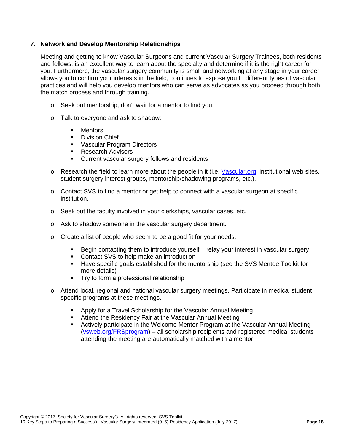#### **7. Network and Develop Mentorship Relationships**

Meeting and getting to know Vascular Surgeons and current Vascular Surgery Trainees, both residents and fellows, is an excellent way to learn about the specialty and determine if it is the right career for you. Furthermore, the vascular surgery community is small and networking at any stage in your career allows you to confirm your interests in the field, continues to expose you to different types of vascular practices and will help you develop mentors who can serve as advocates as you proceed through both the match process and through training.

- o Seek out mentorship, don't wait for a mentor to find you.
- o Talk to everyone and ask to shadow:
	- Mentors
	- **Division Chief**
	- Vascular Program Directors<br>■ Research Advisors
	- Research Advisors
	- **Current vascular surgery fellows and residents**
- $\circ$  Research the field to learn more about the people in it (i.e. [Vascular.org,](http://www.vascular.org/) institutional web sites, student surgery interest groups, mentorship/shadowing programs, etc.).
- o Contact SVS to find a mentor or get help to connect with a vascular surgeon at specific institution.
- o Seek out the faculty involved in your clerkships, vascular cases, etc.
- o Ask to shadow someone in the vascular surgery department.
- o Create a list of people who seem to be a good fit for your needs.
	- Begin contacting them to introduce yourself relay your interest in vascular surgery
	- **Contact SVS to help make an introduction**
	- Have specific goals established for the mentorship (see the SVS Mentee Toolkit for more details)
	- **Try to form a professional relationship**
- $\circ$  Attend local, regional and national vascular surgery meetings. Participate in medical student  $$ specific programs at these meetings.
	- Apply for a Travel Scholarship for the Vascular Annual Meeting
	- **Attend the Residency Fair at the Vascular Annual Meeting**<br>**•** Actively participate in the Welcome Mentor Program at the
	- Actively participate in the Welcome Mentor Program at the Vascular Annual Meeting [\(vsweb.org/FRSprogram\)](http://vsweb.org/FRSprogram) – all scholarship recipients and registered medical students attending the meeting are automatically matched with a mentor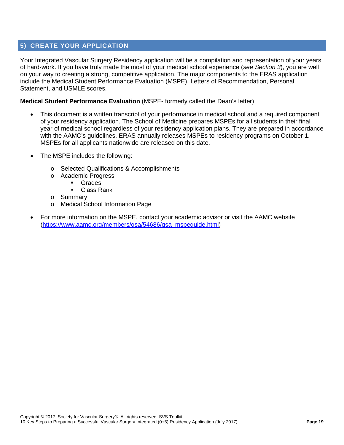#### <span id="page-18-0"></span>**5) CREATE YOUR APPLICATION**

Your Integrated Vascular Surgery Residency application will be a compilation and representation of your years of hard-work. If you have truly made the most of your medical school experience (*see Section 3*), you are well on your way to creating a strong, competitive application. The major components to the ERAS application include the Medical Student Performance Evaluation (MSPE), Letters of Recommendation, Personal Statement, and USMLE scores.

#### **Medical Student Performance Evaluation** (MSPE- formerly called the Dean's letter)

- This document is a written transcript of your performance in medical school and a required component of your residency application. The School of Medicine prepares MSPEs for all students in their final year of medical school regardless of your residency application plans. They are prepared in accordance with the AAMC's guidelines. ERAS annually releases MSPEs to residency programs on October 1. MSPEs for all applicants nationwide are released on this date.
- The MSPE includes the following:
	- o Selected Qualifications & Accomplishments
	- o Academic Progress
		- Grades
		- Class Rank
	- o Summary
	- o Medical School Information Page
- For more information on the MSPE, contact your academic advisor or visit the AAMC website [\(https://www.aamc.org/members/gsa/54686/gsa\\_mspeguide.html\)](https://www.aamc.org/members/gsa/54686/gsa_mspeguide.html)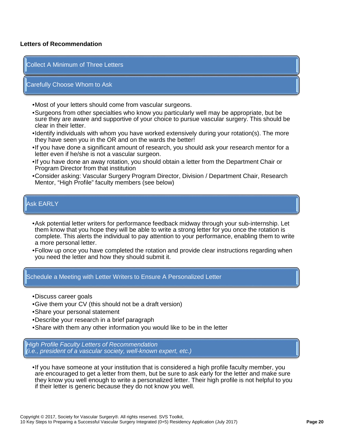#### **Letters of Recommendation**

#### Collect A Minimum of Three Letters

#### Carefully Choose Whom to Ask

- •Most of your letters should come from vascular surgeons.
- •Surgeons from other specialties who know you particularly well may be appropriate, but be sure they are aware and supportive of your choice to pursue vascular surgery. This should be clear in their letter.
- •Identify individuals with whom you have worked extensively during your rotation(s). The more they have seen you in the OR and on the wards the better!
- •If you have done a significant amount of research, you should ask your research mentor for a letter even if he/she is not a vascular surgeon.
- •If you have done an away rotation, you should obtain a letter from the Department Chair or Program Director from that institution
- •Consider asking: Vascular Surgery Program Director, Division / Department Chair, Research Mentor, "High Profile" faculty members (see below)

#### Ask EARLY

- •Ask potential letter writers for performance feedback midway through your sub-internship. Let them know that you hope they will be able to write a strong letter for you once the rotation is complete. This alerts the individual to pay attention to your performance, enabling them to write a more personal letter.
- •Follow up once you have completed the rotation and provide clear instructions regarding when you need the letter and how they should submit it.

#### Schedule a Meeting with Letter Writers to Ensure A Personalized Letter

- •Discuss career goals
- •Give them your CV (this should not be a draft version)
- •Share your personal statement
- •Describe your research in a brief paragraph
- •Share with them any other information you would like to be in the letter

*High Profile Faculty Letters of Recommendation (i.e., president of a vascular society, well-known expert, etc.)*

•If you have someone at your institution that is considered a high profile faculty member, you are encouraged to get a letter from them, but be sure to ask early for the letter and make sure they know you well enough to write a personalized letter. Their high profile is not helpful to you if their letter is generic because they do not know you well.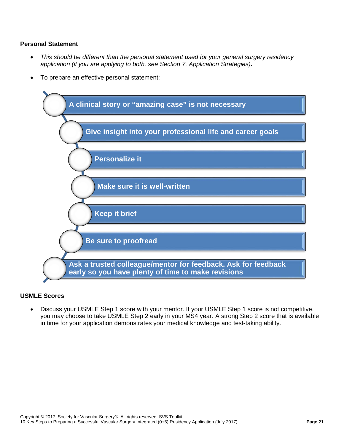#### **Personal Statement**

- *This should be different than the personal statement used for your general surgery residency application (if you are applying to both, see Section 7, Application Strategies)***.**
- To prepare an effective personal statement:



#### **USMLE Scores**

• Discuss your USMLE Step 1 score with your mentor. If your USMLE Step 1 score is not competitive, you may choose to take USMLE Step 2 early in your MS4 year. A strong Step 2 score that is available in time for your application demonstrates your medical knowledge and test-taking ability.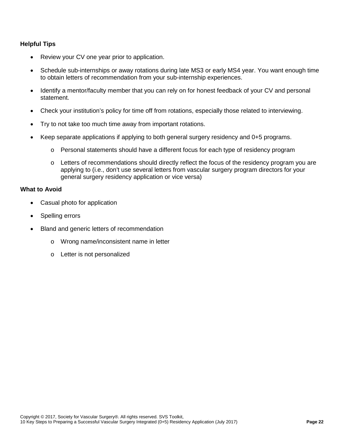#### **Helpful Tips**

- Review your CV one year prior to application.
- Schedule sub-internships or away rotations during late MS3 or early MS4 year. You want enough time to obtain letters of recommendation from your sub-internship experiences.
- Identify a mentor/faculty member that you can rely on for honest feedback of your CV and personal statement.
- Check your institution's policy for time off from rotations, especially those related to interviewing.
- Try to not take too much time away from important rotations.
- Keep separate applications if applying to both general surgery residency and 0+5 programs.
	- $\circ$  Personal statements should have a different focus for each type of residency program
	- $\circ$  Letters of recommendations should directly reflect the focus of the residency program you are applying to (i.e., don't use several letters from vascular surgery program directors for your general surgery residency application or vice versa)

#### **What to Avoid**

- Casual photo for application
- Spelling errors
- Bland and generic letters of recommendation
	- o Wrong name/inconsistent name in letter
	- o Letter is not personalized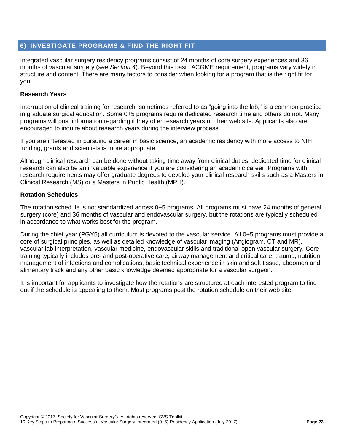#### <span id="page-22-0"></span>**6) INVESTIGATE PROGRAMS & FIND THE RIGHT FIT**

Integrated vascular surgery residency programs consist of 24 months of core surgery experiences and 36 months of vascular surgery (*see Section 4*). Beyond this basic ACGME requirement, programs vary widely in structure and content. There are many factors to consider when looking for a program that is the right fit for you.

#### **Research Years**

Interruption of clinical training for research, sometimes referred to as "going into the lab," is a common practice in graduate surgical education. Some 0+5 programs require dedicated research time and others do not. Many programs will post information regarding if they offer research years on their web site. Applicants also are encouraged to inquire about research years during the interview process.

If you are interested in pursuing a career in basic science, an academic residency with more access to NIH funding, grants and scientists is more appropriate.

Although clinical research can be done without taking time away from clinical duties, dedicated time for clinical research can also be an invaluable experience if you are considering an academic career. Programs with research requirements may offer graduate degrees to develop your clinical research skills such as a Masters in Clinical Research (MS) or a Masters in Public Health (MPH).

#### **Rotation Schedules**

The rotation schedule is not standardized across 0+5 programs. All programs must have 24 months of general surgery (core) and 36 months of vascular and endovascular surgery, but the rotations are typically scheduled in accordance to what works best for the program.

During the chief year (PGY5) all curriculum is devoted to the vascular service. All 0+5 programs must provide a core of surgical principles, as well as detailed knowledge of vascular imaging (Angiogram, CT and MR), vascular lab interpretation, vascular medicine, endovascular skills and traditional open vascular surgery. Core training typically includes pre- and post-operative care, airway management and critical care, trauma, nutrition, management of infections and complications, basic technical experience in skin and soft tissue, abdomen and alimentary track and any other basic knowledge deemed appropriate for a vascular surgeon.

It is important for applicants to investigate how the rotations are structured at each interested program to find out if the schedule is appealing to them. Most programs post the rotation schedule on their web site.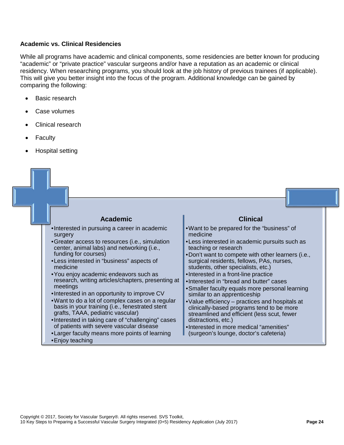#### **Academic vs. Clinical Residencies**

While all programs have academic and clinical components, some residencies are better known for producing "academic" or "private practice" vascular surgeons and/or have a reputation as an academic or clinical residency. When researching programs, you should look at the job history of previous trainees (if applicable). This will give you better insight into the focus of the program. Additional knowledge can be gained by comparing the following:

- Basic research
- Case volumes
- Clinical research
- **Faculty**
- Hospital setting

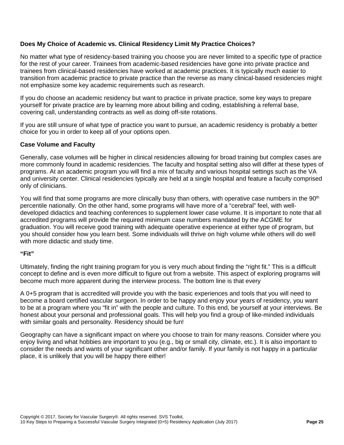#### **Does My Choice of Academic vs. Clinical Residency Limit My Practice Choices?**

No matter what type of residency-based training you choose you are never limited to a specific type of practice for the rest of your career. Trainees from academic-based residencies have gone into private practice and trainees from clinical-based residencies have worked at academic practices. It is typically much easier to transition from academic practice to private practice than the reverse as many clinical-based residencies might not emphasize some key academic requirements such as research.

If you do choose an academic residency but want to practice in private practice, some key ways to prepare yourself for private practice are by learning more about billing and coding, establishing a referral base, covering call, understanding contracts as well as doing off-site rotations.

If you are still unsure of what type of practice you want to pursue, an academic residency is probably a better choice for you in order to keep all of your options open.

#### **Case Volume and Faculty**

Generally, case volumes will be higher in clinical residencies allowing for broad training but complex cases are more commonly found in academic residencies. The faculty and hospital setting also will differ at these types of programs. At an academic program you will find a mix of faculty and various hospital settings such as the VA and university center. Clinical residencies typically are held at a single hospital and feature a faculty comprised only of clinicians.

You will find that some programs are more clinically busy than others, with operative case numbers in the 90<sup>th</sup> percentile nationally. On the other hand, some programs will have more of a "cerebral" feel, with welldeveloped didactics and teaching conferences to supplement lower case volume. It is important to note that all accredited programs will provide the required minimum case numbers mandated by the ACGME for graduation. You will receive good training with adequate operative experience at either type of program, but you should consider how you learn best. Some individuals will thrive on high volume while others will do well with more didactic and study time.

#### **"Fit"**

Ultimately, finding the right training program for you is very much about finding the "right fit." This is a difficult concept to define and is even more difficult to figure out from a website. This aspect of exploring programs will become much more apparent during the interview process. The bottom line is that every

A 0+5 program that is accredited will provide you with the basic experiences and tools that you will need to become a board certified vascular surgeon. In order to be happy and enjoy your years of residency, you want to be at a program where you "fit in" with the people and culture. To this end, be yourself at your interviews. Be honest about your personal and professional goals. This will help you find a group of like-minded individuals with similar goals and personality. Residency should be fun!

Geography can have a significant impact on where you choose to train for many reasons. Consider where you enjoy living and what hobbies are important to you (e.g., big or small city, climate, etc.). It is also important to consider the needs and wants of your significant other and/or family. If your family is not happy in a particular place, it is unlikely that you will be happy there either!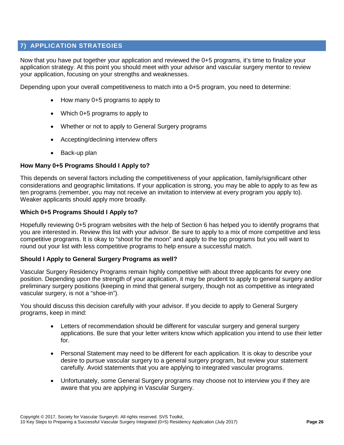#### <span id="page-25-0"></span>**7) APPLICATION STRATEGIES**

Now that you have put together your application and reviewed the 0+5 programs, it's time to finalize your application strategy. At this point you should meet with your advisor and vascular surgery mentor to review your application, focusing on your strengths and weaknesses.

Depending upon your overall competitiveness to match into a 0+5 program, you need to determine:

- How many 0+5 programs to apply to
- Which 0+5 programs to apply to
- Whether or not to apply to General Surgery programs
- Accepting/declining interview offers
- Back-up plan

#### **How Many 0+5 Programs Should I Apply to?**

This depends on several factors including the competitiveness of your application, family/significant other considerations and geographic limitations. If your application is strong, you may be able to apply to as few as ten programs (remember, you may not receive an invitation to interview at every program you apply to). Weaker applicants should apply more broadly.

#### **Which 0+5 Programs Should I Apply to?**

Hopefully reviewing 0+5 program websites with the help of Section 6 has helped you to identify programs that you are interested in. Review this list with your advisor. Be sure to apply to a mix of more competitive and less competitive programs. It is okay to "shoot for the moon" and apply to the top programs but you will want to round out your list with less competitive programs to help ensure a successful match.

#### **Should I Apply to General Surgery Programs as well?**

Vascular Surgery Residency Programs remain highly competitive with about three applicants for every one position. Depending upon the strength of your application, it may be prudent to apply to general surgery and/or preliminary surgery positions (keeping in mind that general surgery, though not as competitive as integrated vascular surgery, is not a "shoe-in").

You should discuss this decision carefully with your advisor. If you decide to apply to General Surgery programs, keep in mind:

- Letters of recommendation should be different for vascular surgery and general surgery applications. Be sure that your letter writers know which application you intend to use their letter for.
- Personal Statement may need to be different for each application. It is okay to describe your desire to pursue vascular surgery to a general surgery program, but review your statement carefully. Avoid statements that you are applying to integrated vascular programs.
- Unfortunately, some General Surgery programs may choose not to interview you if they are aware that you are applying in Vascular Surgery.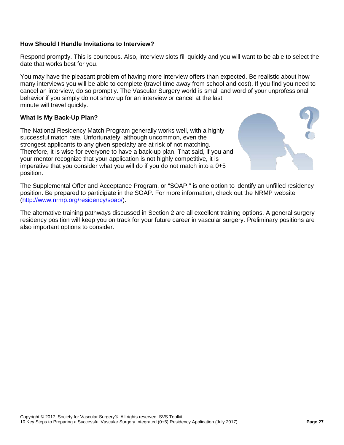#### **How Should I Handle Invitations to Interview?**

Respond promptly. This is courteous. Also, interview slots fill quickly and you will want to be able to select the date that works best for you.

You may have the pleasant problem of having more interview offers than expected. Be realistic about how many interviews you will be able to complete (travel time away from school and cost). If you find you need to cancel an interview, do so promptly. The Vascular Surgery world is small and word of your unprofessional behavior if you simply do not show up for an interview or cancel at the last minute will travel quickly.

#### **What Is My Back-Up Plan?**

The National Residency Match Program generally works well, with a highly successful match rate. Unfortunately, although uncommon, even the strongest applicants to any given specialty are at risk of not matching. Therefore, it is wise for everyone to have a back-up plan. That said, if you and your mentor recognize that your application is not highly competitive, it is imperative that you consider what you will do if you do not match into a 0+5 position.



The Supplemental Offer and Acceptance Program, or "SOAP," is one option to identify an unfilled residency position. Be prepared to participate in the SOAP. For more information, check out the NRMP website [\(http://www.nrmp.org/residency/soap/\)](http://www.nrmp.org/residency/soap/).

The alternative training pathways discussed in Section 2 are all excellent training options. A general surgery residency position will keep you on track for your future career in vascular surgery. Preliminary positions are also important options to consider.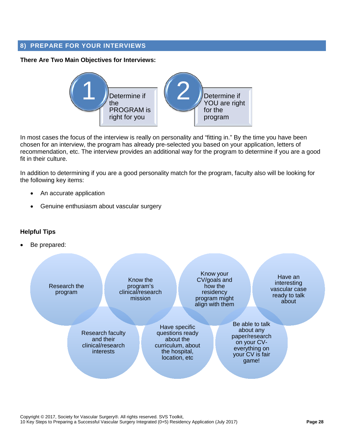#### <span id="page-27-0"></span>**8) PREPARE FOR YOUR INTERVIEWS**

#### **There Are Two Main Objectives for Interviews:**



In most cases the focus of the interview is really on personality and "fitting in." By the time you have been chosen for an interview, the program has already pre-selected you based on your application, letters of recommendation, etc. The interview provides an additional way for the program to determine if you are a good fit in their culture.

In addition to determining if you are a good personality match for the program, faculty also will be looking for the following key items:

- An accurate application
- Genuine enthusiasm about vascular surgery

#### **Helpful Tips**

Be prepared:

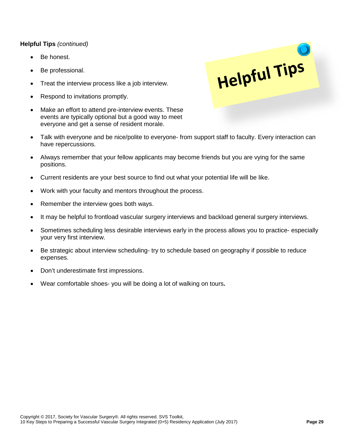#### **Helpful Tips** *(continued)*

- Be honest.
- Be professional.
- Treat the interview process like a job interview.
- Respond to invitations promptly.
- Make an effort to attend pre-interview events. These events are typically optional but a good way to meet everyone and get a sense of resident morale.
- Talk with everyone and be nice/polite to everyone- from support staff to faculty. Every interaction can have repercussions.

Helpful Tips

- Always remember that your fellow applicants may become friends but you are vying for the same positions.
- Current residents are your best source to find out what your potential life will be like.
- Work with your faculty and mentors throughout the process.
- Remember the interview goes both ways.
- It may be helpful to frontload vascular surgery interviews and backload general surgery interviews.
- Sometimes scheduling less desirable interviews early in the process allows you to practice- especially your very first interview.
- Be strategic about interview scheduling- try to schedule based on geography if possible to reduce expenses.
- Don't underestimate first impressions.
- Wear comfortable shoes- you will be doing a lot of walking on tours**.**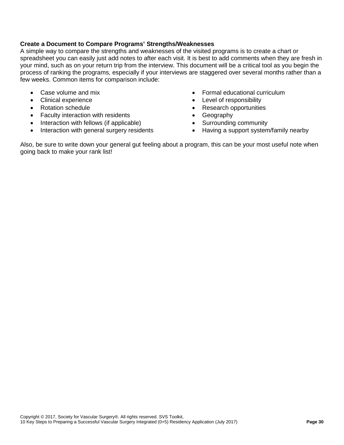#### **Create a Document to Compare Programs' Strengths/Weaknesses**

A simple way to compare the strengths and weaknesses of the visited programs is to create a chart or spreadsheet you can easily just add notes to after each visit. It is best to add comments when they are fresh in your mind, such as on your return trip from the interview. This document will be a critical tool as you begin the process of ranking the programs, especially if your interviews are staggered over several months rather than a few weeks. Common items for comparison include:

- Case volume and mix
- Clinical experience
- Rotation schedule
- Faculty interaction with residents
- Interaction with fellows (if applicable)
- Interaction with general surgery residents
- Formal educational curriculum
- Level of responsibility
- Research opportunities
- Geography
- Surrounding community
- Having a support system/family nearby

Also, be sure to write down your general gut feeling about a program, this can be your most useful note when going back to make your rank list!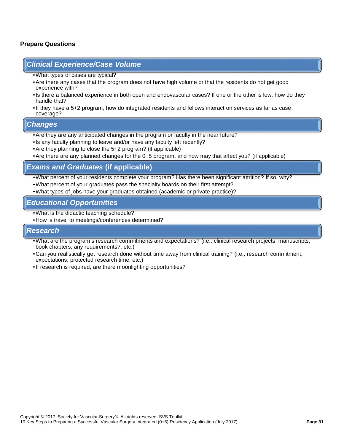#### **Prepare Questions**

#### *Clinical Experience/Case Volume*

- •What types of cases are typical?
- •Are there any cases that the program does not have high volume or that the residents do not get good experience with?
- •Is there a balanced experience in both open and endovascular cases? If one or the other is low, how do they handle that?
- •If they have a 5+2 program, how do integrated residents and fellows interact on services as far as case coverage?

#### *Changes*

- •Are they are any anticipated changes in the program or faculty in the near future?
- •Is any faculty planning to leave and/or have any faculty left recently?
- •Are they planning to close the 5+2 program? (if applicable)
- •Are there are any planned changes for the 0+5 program, and how may that affect you? (if applicable)

#### *Exams and Graduates* **(if applicable)**

- •What percent of your residents complete your program? Has there been significant attrition? If so, why?
- •What percent of your graduates pass the specialty boards on their first attempt?
- •What types of jobs have your graduates obtained (academic or private practice)?

#### *Educational Opportunities*

- •What is the didactic teaching schedule?
- •How is travel to meetings/conferences determined?

#### *Research*

- •What are the program's research commitments and expectations? (i.e., clinical research projects, manuscripts, book chapters, any requirements?, etc.)
- •Can you realistically get research done without time away from clinical training? (i.e., research commitment, expectations, protected research time, etc.)
- •If research is required, are there moonlighting opportunities?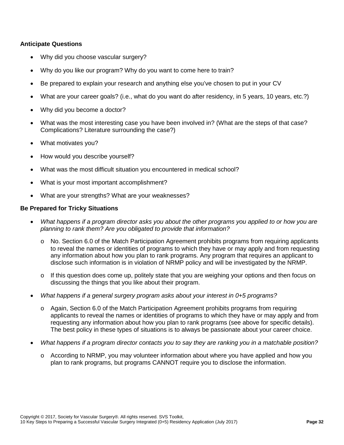#### **Anticipate Questions**

- Why did you choose vascular surgery?
- Why do you like our program? Why do you want to come here to train?
- Be prepared to explain your research and anything else you've chosen to put in your CV
- What are your career goals? (i.e., what do you want do after residency, in 5 years, 10 years, etc.?)
- Why did you become a doctor?
- What was the most interesting case you have been involved in? (What are the steps of that case? Complications? Literature surrounding the case?)
- What motivates you?
- How would you describe yourself?
- What was the most difficult situation you encountered in medical school?
- What is your most important accomplishment?
- What are your strengths? What are your weaknesses?

#### **Be Prepared for Tricky Situations**

- *What happens if a program director asks you about the other programs you applied to or how you are planning to rank them? Are you obligated to provide that information?*
	- No. Section 6.0 of the Match Participation Agreement prohibits programs from requiring applicants to reveal the names or identities of programs to which they have or may apply and from requesting any information about how you plan to rank programs. Any program that requires an applicant to disclose such information is in violation of NRMP policy and will be investigated by the NRMP.
	- $\circ$  If this question does come up, politely state that you are weighing your options and then focus on discussing the things that you like about their program.
- *What happens if a general surgery program asks about your interest in 0+5 programs?*
	- o Again, Section 6.0 of the Match Participation Agreement prohibits programs from requiring applicants to reveal the names or identities of programs to which they have or may apply and from requesting any information about how you plan to rank programs (see above for specific details). The best policy in these types of situations is to always be passionate about your career choice.
- *What happens if a program director contacts you to say they are ranking you in a matchable position?*
	- o According to NRMP, you may volunteer information about where you have applied and how you plan to rank programs, but programs CANNOT require you to disclose the information.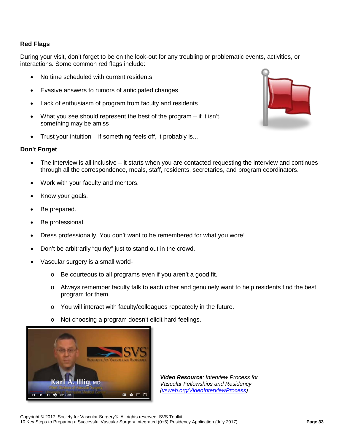#### **Red Flags**

During your visit, don't forget to be on the look-out for any troubling or problematic events, activities, or interactions. Some common red flags include:

- No time scheduled with current residents
- Evasive answers to rumors of anticipated changes
- Lack of enthusiasm of program from faculty and residents
- What you see should represent the best of the program if it isn't, something may be amiss
- Trust your intuition if something feels off, it probably is...

#### **Don't Forget**

- The interview is all inclusive it starts when you are contacted requesting the interview and continues through all the correspondence, meals, staff, residents, secretaries, and program coordinators.
- Work with your faculty and mentors.
- Know your goals.
- Be prepared.
- Be professional.
- Dress professionally. You don't want to be remembered for what you wore!
- Don't be arbitrarily "quirky" just to stand out in the crowd.
- Vascular surgery is a small world
	- o Be courteous to all programs even if you aren't a good fit.
	- o Always remember faculty talk to each other and genuinely want to help residents find the best program for them.
	- o You will interact with faculty/colleagues repeatedly in the future.
	- o Not choosing a program doesn't elicit hard feelings.



*Video Resource: Interview Process for Vascular Fellowships and Residency [\(vsweb.org/VideoInterviewProcess\)](http://vsweb.org/VideoInterviewProcess)* 



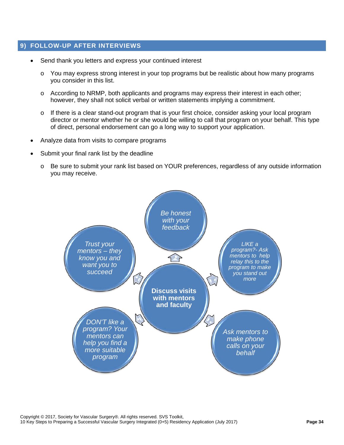#### <span id="page-33-0"></span>**9) FOLLOW-UP AFTER INTERVIEWS**

- Send thank you letters and express your continued interest
	- o You may express strong interest in your top programs but be realistic about how many programs you consider in this list.
	- o According to NRMP, both applicants and programs may express their interest in each other; however, they shall not solicit verbal or written statements implying a commitment.
	- o If there is a clear stand-out program that is your first choice, consider asking your local program director or mentor whether he or she would be willing to call that program on your behalf. This type of direct, personal endorsement can go a long way to support your application.
- Analyze data from visits to compare programs
- Submit your final rank list by the deadline
	- o Be sure to submit your rank list based on YOUR preferences, regardless of any outside information you may receive.